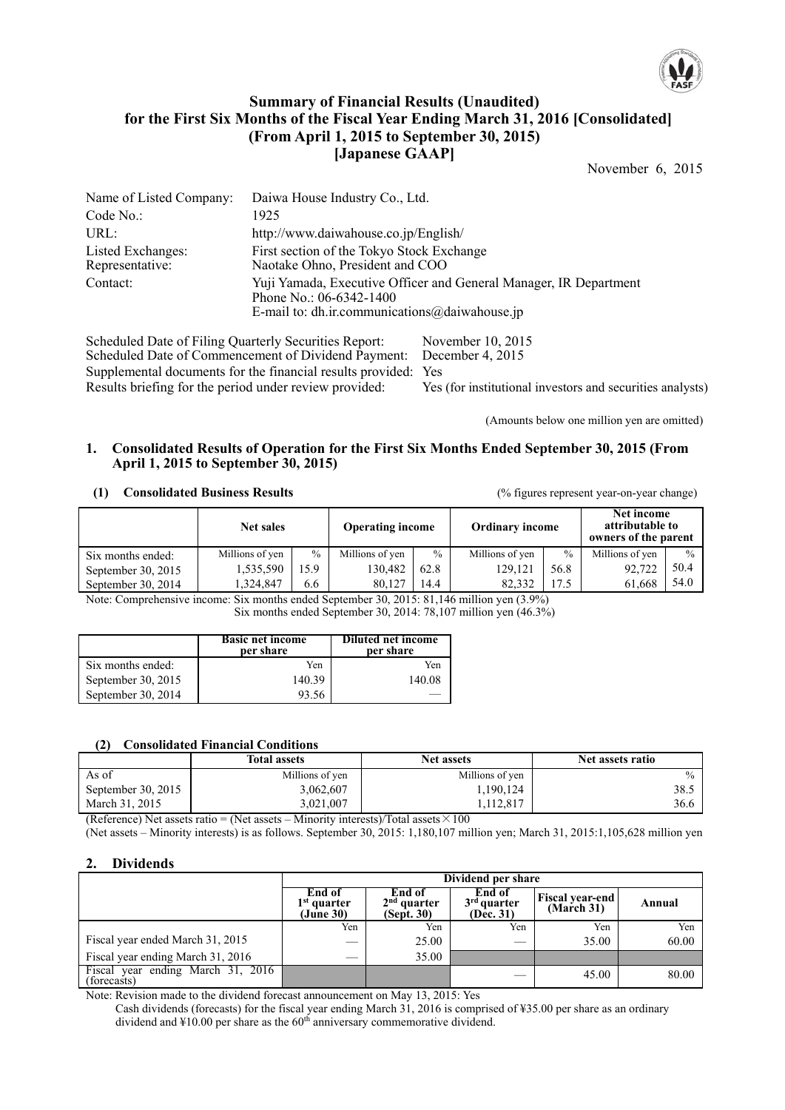

## **Summary of Financial Results (Unaudited) for the First Six Months of the Fiscal Year Ending March 31, 2016 [Consolidated] (From April 1, 2015 to September 30, 2015) [Japanese GAAP]**

November 6, 2015

| Name of Listed Company:              | Daiwa House Industry Co., Ltd.                                                                                                                  |
|--------------------------------------|-------------------------------------------------------------------------------------------------------------------------------------------------|
| Code No.:                            | 1925                                                                                                                                            |
| URL:                                 | http://www.daiwahouse.co.jp/English/                                                                                                            |
| Listed Exchanges:<br>Representative: | First section of the Tokyo Stock Exchange<br>Naotake Ohno, President and COO                                                                    |
| Contact:                             | Yuji Yamada, Executive Officer and General Manager, IR Department<br>Phone No.: $06-6342-1400$<br>E-mail to: dh.ir.communications@daiwahouse.jp |

Scheduled Date of Filing Quarterly Securities Report: November 10, 2015<br>Scheduled Date of Commencement of Dividend Payment: December 4, 2015 Scheduled Date of Commencement of Dividend Payment: Supplemental documents for the financial results provided: Yes Results briefing for the period under review provided: Yes (for institutional investors and securities analysts)

(Amounts below one million yen are omitted)

### **1. Consolidated Results of Operation for the First Six Months Ended September 30, 2015 (From April 1, 2015 to September 30, 2015)**

#### **(1) Consolidated Business Results** (% figures represent year-on-year change)

|                      | Net sales       |      | <b>Operating income</b> |               | <b>Ordinary income</b> |               | Net income<br>attributable to<br>owners of the parent |               |
|----------------------|-----------------|------|-------------------------|---------------|------------------------|---------------|-------------------------------------------------------|---------------|
| Six months ended:    | Millions of yen | $\%$ | Millions of yen         | $\frac{0}{0}$ | Millions of yen        | $\frac{0}{0}$ | Millions of yen                                       | $\frac{0}{0}$ |
| September 30, $2015$ | 1,535,590       | .5.9 | 130.482                 | 62.8          | 129.121                | 56.8          | 92,722                                                | 50.4          |
| September 30, $2014$ | 1.324.847       | 6.6  | 80.127                  | 14.4          | 82.332                 | 17.5          | 61.668                                                | 54.0          |

Note: Comprehensive income: Six months ended September 30, 2015: 81,146 million yen (3.9%) Six months ended September 30, 2014: 78,107 million yen (46.3%)

|                    | <b>Basic net income</b><br>per share | <b>Diluted net income</b><br>per share |
|--------------------|--------------------------------------|----------------------------------------|
| Six months ended:  | Yen                                  | Yen                                    |
| September 30, 2015 | 140.39                               | 140.08                                 |
| September 30, 2014 | 93.56                                |                                        |

#### **(2) Consolidated Financial Conditions**

|                      | <b>Total assets</b> | <b>Net assets</b> | Net assets ratio |
|----------------------|---------------------|-------------------|------------------|
| As of                | Millions of yen     | Millions of yen   | $\frac{0}{0}$    |
| September 30, $2015$ | 3,062,607           | 1,190,124         | 38.5             |
| March 31, 2015       | 3,021,007           | ,112,817          | 36.6             |

(Reference) Net assets ratio = (Net assets – Minority interests)/Total assets  $\times 100$ 

(Net assets – Minority interests) is as follows. September 30, 2015: 1,180,107 million yen; March 31, 2015:1,105,628 million yen

#### **2. Dividends**

|                                                       |                                      | Dividend per share                    |                                      |                                      |        |  |  |
|-------------------------------------------------------|--------------------------------------|---------------------------------------|--------------------------------------|--------------------------------------|--------|--|--|
|                                                       | End of<br>$1st$ quarter<br>(June 30) | End of<br>$2nd$ quarter<br>(Sept. 30) | End of<br>$3rd$ quarter<br>(Dec. 31) | <b>Fiscal year-end</b><br>(March 31) | Annual |  |  |
|                                                       | Yen                                  | Yen                                   | Yen                                  | Yen                                  | Yen    |  |  |
| Fiscal year ended March 31, 2015                      |                                      | 25.00                                 |                                      | 35.00                                | 60.00  |  |  |
| Fiscal year ending March 31, 2016                     | __                                   | 35.00                                 |                                      |                                      |        |  |  |
| ending March $31, 2016$<br>Fiscal year<br>(forecasts) |                                      |                                       |                                      | 45.00                                | 80.00  |  |  |

Note: Revision made to the dividend forecast announcement on May 13, 2015: Yes

Cash dividends (forecasts) for the fiscal year ending March 31, 2016 is comprised of ¥35.00 per share as an ordinary dividend and  $\text{\#}10.00$  per share as the 60<sup>th</sup> anniversary commemorative dividend.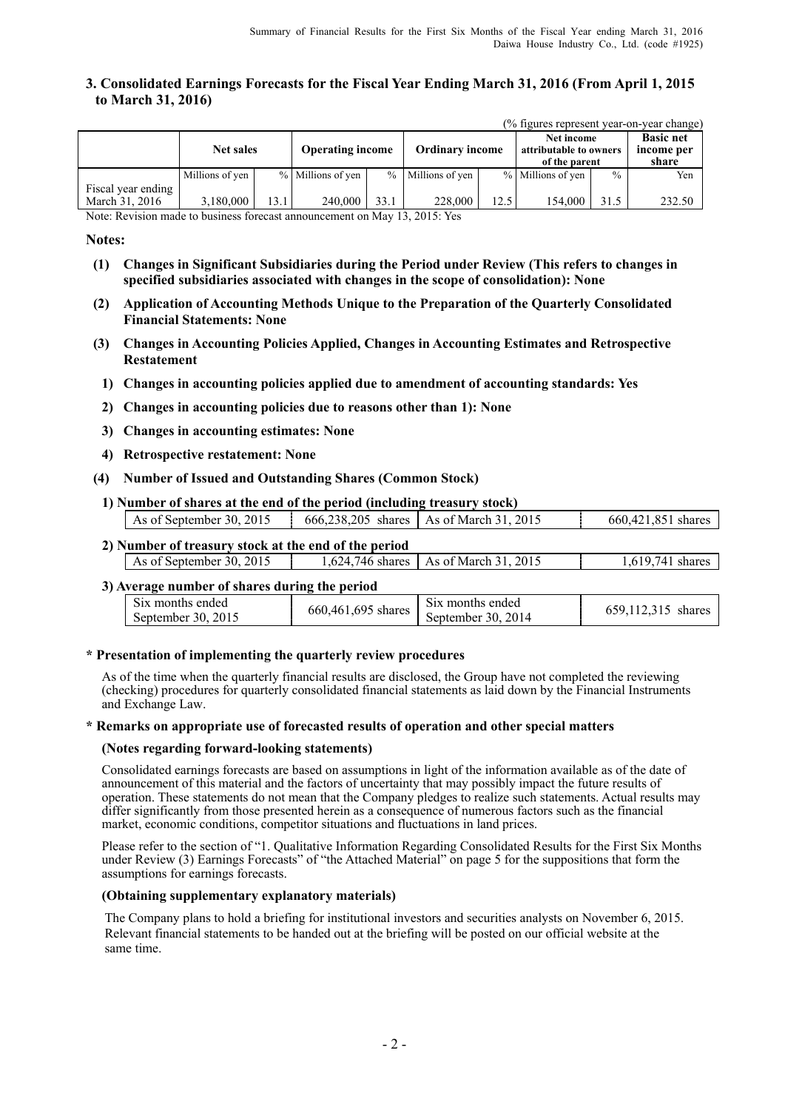### **3. Consolidated Earnings Forecasts for the Fiscal Year Ending March 31, 2016 (From April 1, 2015 to March 31, 2016)**

|  | (% figures represent year-on-year change) |  |
|--|-------------------------------------------|--|
|  |                                           |  |

|                                      | <b>Net sales</b> |      | <b>Operating income</b> |      | <b>Ordinary income</b> |      | Net income<br>attributable to owners<br>of the parent |               | <b>Basic net</b><br>income per<br>share |  |
|--------------------------------------|------------------|------|-------------------------|------|------------------------|------|-------------------------------------------------------|---------------|-----------------------------------------|--|
|                                      | Millions of yen  |      | % Millions of yen       |      | % Millions of yen      |      | % Millions of yen                                     | $\frac{0}{0}$ | Yen                                     |  |
| Fiscal year ending<br>March 31, 2016 | 3.180.000        | 13.1 | 240,000                 | 33.1 | 228,000                | 12.5 | 154.000                                               | 31.5          | 232.50                                  |  |

Note: Revision made to business forecast announcement on May 13, 2015: Yes

### **Notes:**

- **(1) Changes in Significant Subsidiaries during the Period under Review (This refers to changes in specified subsidiaries associated with changes in the scope of consolidation): None**
- **(2) Application of Accounting Methods Unique to the Preparation of the Quarterly Consolidated Financial Statements: None**
- **(3) Changes in Accounting Policies Applied, Changes in Accounting Estimates and Retrospective Restatement** 
	- **1) Changes in accounting policies applied due to amendment of accounting standards: Yes**
	- **2) Changes in accounting policies due to reasons other than 1): None**
	- **3) Changes in accounting estimates: None**
	- **4) Retrospective restatement: None**
- **(4) Number of Issued and Outstanding Shares (Common Stock)**
- **1) Number of shares at the end of the period (including treasury stock)**

| As of September 30, 2015 | 666.238.205 shares As of March 31, 2015 |  |  | 660,421,851 shares |
|--------------------------|-----------------------------------------|--|--|--------------------|
|                          |                                         |  |  |                    |

### **2) Number of treasury stock at the end of the period**

| , rumovi ol u vasur v stočivat tile čilu ol tile period |        |                                                |                   |
|---------------------------------------------------------|--------|------------------------------------------------|-------------------|
| As of September 30, 2015                                | .624.1 | $-746$ shares $\parallel$ As of March 31, 2015 | 741 shares<br>619 |
|                                                         |        |                                                |                   |

### **3) Average number of shares during the period**

| Six months ended   |                    | S <sub>1</sub> x months ended | 659.112.315 |
|--------------------|--------------------|-------------------------------|-------------|
| September 30, 2015 | 660.461.695 shares | September 30, 2014            | shares      |
|                    |                    |                               |             |

#### **\* Presentation of implementing the quarterly review procedures**

As of the time when the quarterly financial results are disclosed, the Group have not completed the reviewing (checking) procedures for quarterly consolidated financial statements as laid down by the Financial Instruments and Exchange Law.

#### **\* Remarks on appropriate use of forecasted results of operation and other special matters**

#### **(Notes regarding forward-looking statements)**

Consolidated earnings forecasts are based on assumptions in light of the information available as of the date of announcement of this material and the factors of uncertainty that may possibly impact the future results of operation. These statements do not mean that the Company pledges to realize such statements. Actual results may differ significantly from those presented herein as a consequence of numerous factors such as the financial market, economic conditions, competitor situations and fluctuations in land prices.

Please refer to the section of "1. Qualitative Information Regarding Consolidated Results for the First Six Months under Review (3) Earnings Forecasts" of "the Attached Material" on page 5 for the suppositions that form the assumptions for earnings forecasts.

#### **(Obtaining supplementary explanatory materials)**

The Company plans to hold a briefing for institutional investors and securities analysts on November 6, 2015. Relevant financial statements to be handed out at the briefing will be posted on our official website at the same time.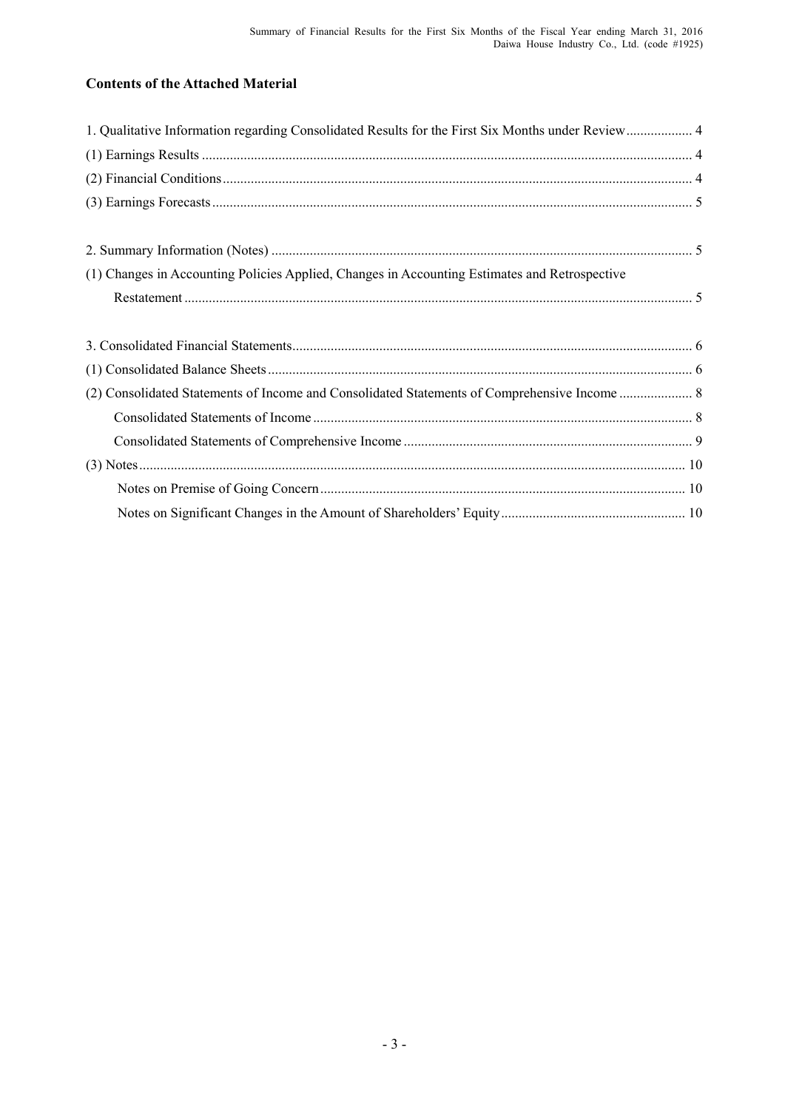# **Contents of the Attached Material**

| 1. Qualitative Information regarding Consolidated Results for the First Six Months under Review 4 |  |
|---------------------------------------------------------------------------------------------------|--|
|                                                                                                   |  |
|                                                                                                   |  |
|                                                                                                   |  |
|                                                                                                   |  |
|                                                                                                   |  |
| (1) Changes in Accounting Policies Applied, Changes in Accounting Estimates and Retrospective     |  |
|                                                                                                   |  |
|                                                                                                   |  |
|                                                                                                   |  |
|                                                                                                   |  |
|                                                                                                   |  |
|                                                                                                   |  |
|                                                                                                   |  |
|                                                                                                   |  |
|                                                                                                   |  |
|                                                                                                   |  |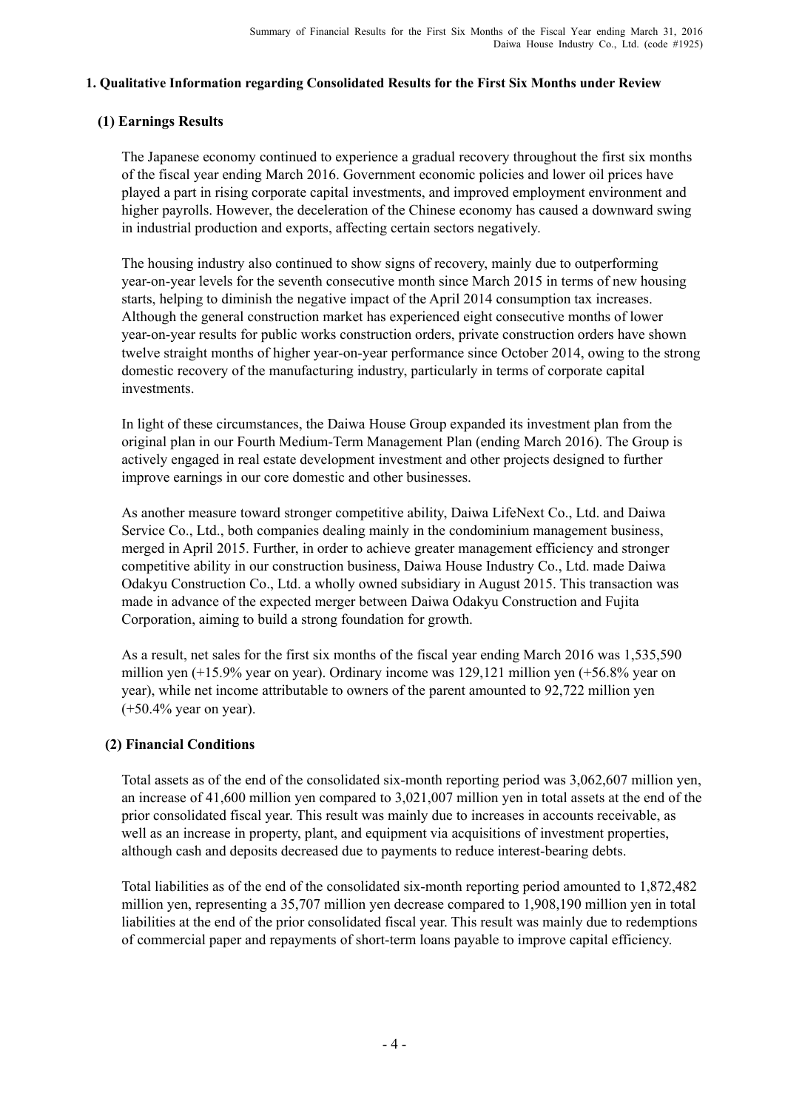## **1. Qualitative Information regarding Consolidated Results for the First Six Months under Review**

## **(1) Earnings Results**

The Japanese economy continued to experience a gradual recovery throughout the first six months of the fiscal year ending March 2016. Government economic policies and lower oil prices have played a part in rising corporate capital investments, and improved employment environment and higher payrolls. However, the deceleration of the Chinese economy has caused a downward swing in industrial production and exports, affecting certain sectors negatively.

The housing industry also continued to show signs of recovery, mainly due to outperforming year-on-year levels for the seventh consecutive month since March 2015 in terms of new housing starts, helping to diminish the negative impact of the April 2014 consumption tax increases. Although the general construction market has experienced eight consecutive months of lower year-on-year results for public works construction orders, private construction orders have shown twelve straight months of higher year-on-year performance since October 2014, owing to the strong domestic recovery of the manufacturing industry, particularly in terms of corporate capital investments.

In light of these circumstances, the Daiwa House Group expanded its investment plan from the original plan in our Fourth Medium-Term Management Plan (ending March 2016). The Group is actively engaged in real estate development investment and other projects designed to further improve earnings in our core domestic and other businesses.

As another measure toward stronger competitive ability, Daiwa LifeNext Co., Ltd. and Daiwa Service Co., Ltd., both companies dealing mainly in the condominium management business, merged in April 2015. Further, in order to achieve greater management efficiency and stronger competitive ability in our construction business, Daiwa House Industry Co., Ltd. made Daiwa Odakyu Construction Co., Ltd. a wholly owned subsidiary in August 2015. This transaction was made in advance of the expected merger between Daiwa Odakyu Construction and Fujita Corporation, aiming to build a strong foundation for growth.

As a result, net sales for the first six months of the fiscal year ending March 2016 was 1,535,590 million yen (+15.9% year on year). Ordinary income was 129,121 million yen (+56.8% year on year), while net income attributable to owners of the parent amounted to 92,722 million yen (+50.4% year on year).

## **(2) Financial Conditions**

Total assets as of the end of the consolidated six-month reporting period was 3,062,607 million yen, an increase of 41,600 million yen compared to 3,021,007 million yen in total assets at the end of the prior consolidated fiscal year. This result was mainly due to increases in accounts receivable, as well as an increase in property, plant, and equipment via acquisitions of investment properties, although cash and deposits decreased due to payments to reduce interest-bearing debts.

Total liabilities as of the end of the consolidated six-month reporting period amounted to 1,872,482 million yen, representing a 35,707 million yen decrease compared to 1,908,190 million yen in total liabilities at the end of the prior consolidated fiscal year. This result was mainly due to redemptions of commercial paper and repayments of short-term loans payable to improve capital efficiency.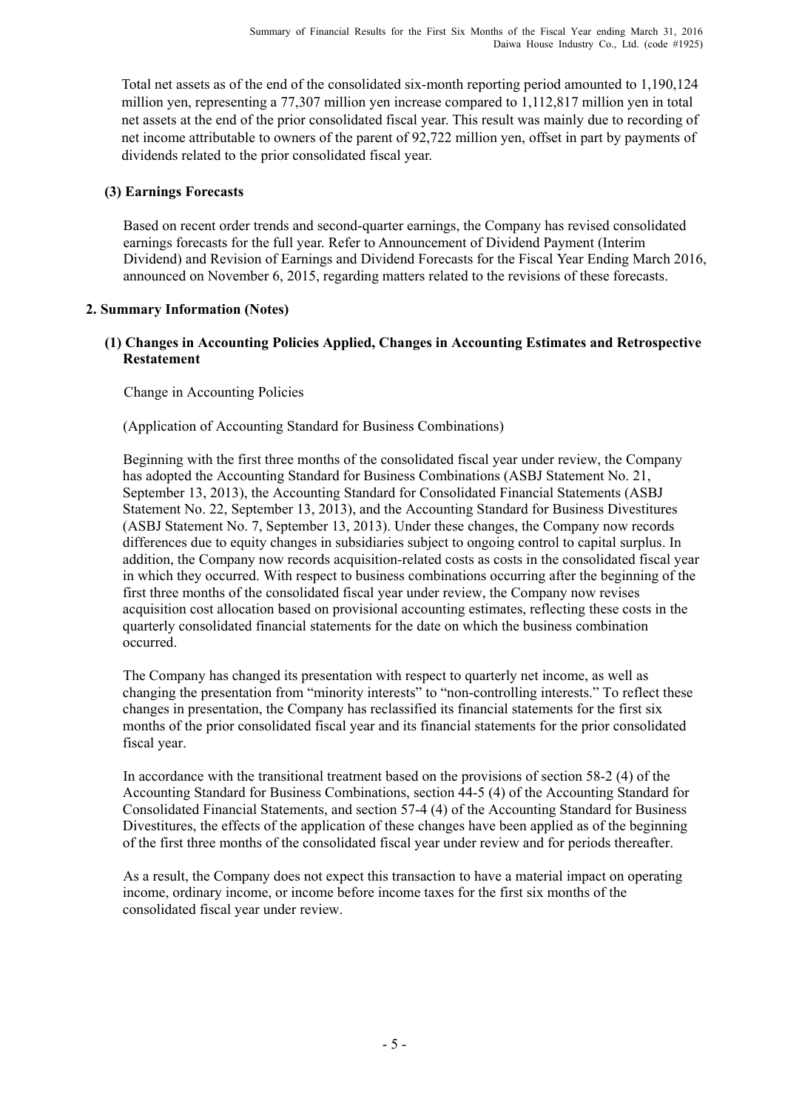Total net assets as of the end of the consolidated six-month reporting period amounted to 1,190,124 million yen, representing a 77,307 million yen increase compared to 1,112,817 million yen in total net assets at the end of the prior consolidated fiscal year. This result was mainly due to recording of net income attributable to owners of the parent of 92,722 million yen, offset in part by payments of dividends related to the prior consolidated fiscal year.

# **(3) Earnings Forecasts**

Based on recent order trends and second-quarter earnings, the Company has revised consolidated earnings forecasts for the full year. Refer to Announcement of Dividend Payment (Interim Dividend) and Revision of Earnings and Dividend Forecasts for the Fiscal Year Ending March 2016, announced on November 6, 2015, regarding matters related to the revisions of these forecasts.

# **2. Summary Information (Notes)**

## **(1) Changes in Accounting Policies Applied, Changes in Accounting Estimates and Retrospective Restatement**

Change in Accounting Policies

(Application of Accounting Standard for Business Combinations)

Beginning with the first three months of the consolidated fiscal year under review, the Company has adopted the Accounting Standard for Business Combinations (ASBJ Statement No. 21, September 13, 2013), the Accounting Standard for Consolidated Financial Statements (ASBJ Statement No. 22, September 13, 2013), and the Accounting Standard for Business Divestitures (ASBJ Statement No. 7, September 13, 2013). Under these changes, the Company now records differences due to equity changes in subsidiaries subject to ongoing control to capital surplus. In addition, the Company now records acquisition-related costs as costs in the consolidated fiscal year in which they occurred. With respect to business combinations occurring after the beginning of the first three months of the consolidated fiscal year under review, the Company now revises acquisition cost allocation based on provisional accounting estimates, reflecting these costs in the quarterly consolidated financial statements for the date on which the business combination occurred.

The Company has changed its presentation with respect to quarterly net income, as well as changing the presentation from "minority interests" to "non-controlling interests." To reflect these changes in presentation, the Company has reclassified its financial statements for the first six months of the prior consolidated fiscal year and its financial statements for the prior consolidated fiscal year.

In accordance with the transitional treatment based on the provisions of section 58-2 (4) of the Accounting Standard for Business Combinations, section 44-5 (4) of the Accounting Standard for Consolidated Financial Statements, and section 57-4 (4) of the Accounting Standard for Business Divestitures, the effects of the application of these changes have been applied as of the beginning of the first three months of the consolidated fiscal year under review and for periods thereafter.

As a result, the Company does not expect this transaction to have a material impact on operating income, ordinary income, or income before income taxes for the first six months of the consolidated fiscal year under review.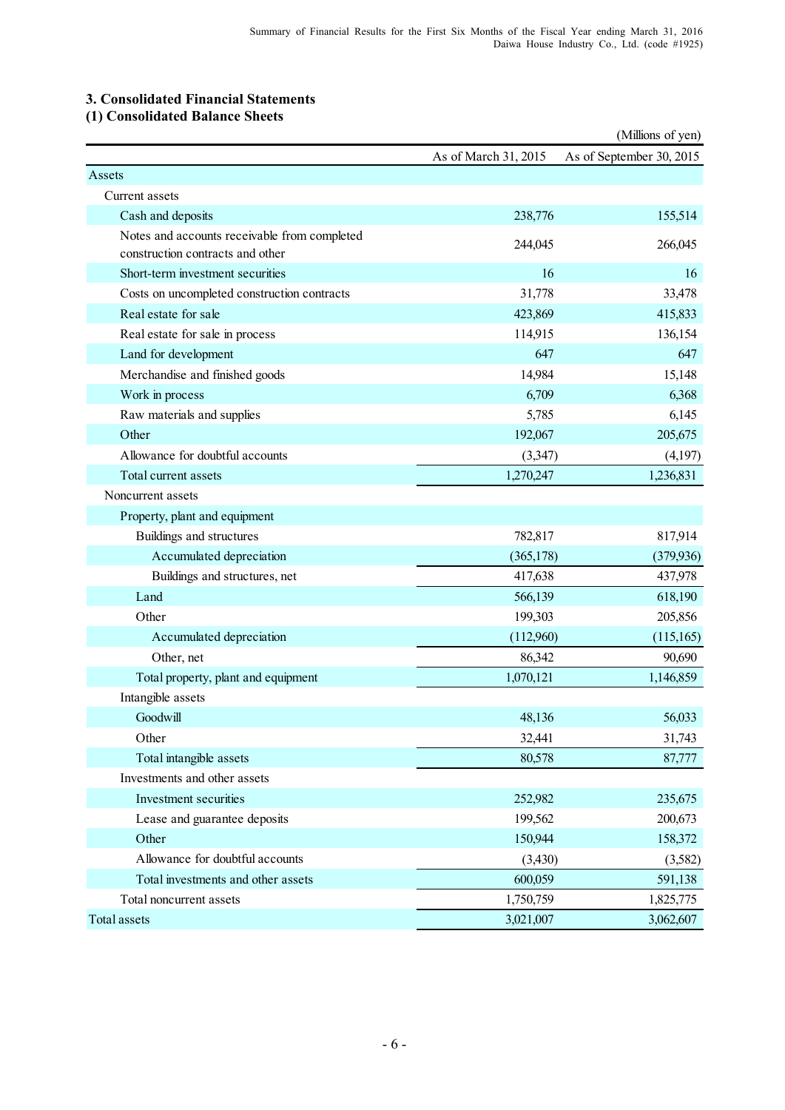# **3. Consolidated Financial Statements**

**(1) Consolidated Balance Sheets**

|                                                                                  |                      | (Millions of yen)        |
|----------------------------------------------------------------------------------|----------------------|--------------------------|
|                                                                                  | As of March 31, 2015 | As of September 30, 2015 |
| Assets                                                                           |                      |                          |
| Current assets                                                                   |                      |                          |
| Cash and deposits                                                                | 238,776              | 155,514                  |
| Notes and accounts receivable from completed<br>construction contracts and other | 244,045              | 266,045                  |
| Short-term investment securities                                                 | 16                   | 16                       |
| Costs on uncompleted construction contracts                                      | 31,778               | 33,478                   |
| Real estate for sale                                                             | 423,869              | 415,833                  |
| Real estate for sale in process                                                  | 114,915              | 136,154                  |
| Land for development                                                             | 647                  | 647                      |
| Merchandise and finished goods                                                   | 14,984               | 15,148                   |
| Work in process                                                                  | 6,709                | 6,368                    |
| Raw materials and supplies                                                       | 5,785                | 6,145                    |
| Other                                                                            | 192,067              | 205,675                  |
| Allowance for doubtful accounts                                                  | (3,347)              | (4,197)                  |
| Total current assets                                                             | 1,270,247            | 1,236,831                |
| Noncurrent assets                                                                |                      |                          |
| Property, plant and equipment                                                    |                      |                          |
| Buildings and structures                                                         | 782,817              | 817,914                  |
| Accumulated depreciation                                                         | (365, 178)           | (379, 936)               |
| Buildings and structures, net                                                    | 417,638              | 437,978                  |
| Land                                                                             | 566,139              | 618,190                  |
| Other                                                                            | 199,303              | 205,856                  |
| Accumulated depreciation                                                         | (112,960)            | (115,165)                |
| Other, net                                                                       | 86,342               | 90,690                   |
| Total property, plant and equipment                                              | 1,070,121            | 1,146,859                |
| Intangible assets                                                                |                      |                          |
| Goodwill                                                                         | 48,136               | 56,033                   |
| Other                                                                            | 32,441               | 31,743                   |
| Total intangible assets                                                          | 80,578               | 87,777                   |
| Investments and other assets                                                     |                      |                          |
| Investment securities                                                            | 252,982              | 235,675                  |
| Lease and guarantee deposits                                                     | 199,562              | 200,673                  |
| Other                                                                            | 150,944              | 158,372                  |
| Allowance for doubtful accounts                                                  | (3,430)              | (3,582)                  |
| Total investments and other assets                                               | 600,059              | 591,138                  |
| Total noncurrent assets                                                          | 1,750,759            | 1,825,775                |
| <b>Total assets</b>                                                              | 3,021,007            | 3,062,607                |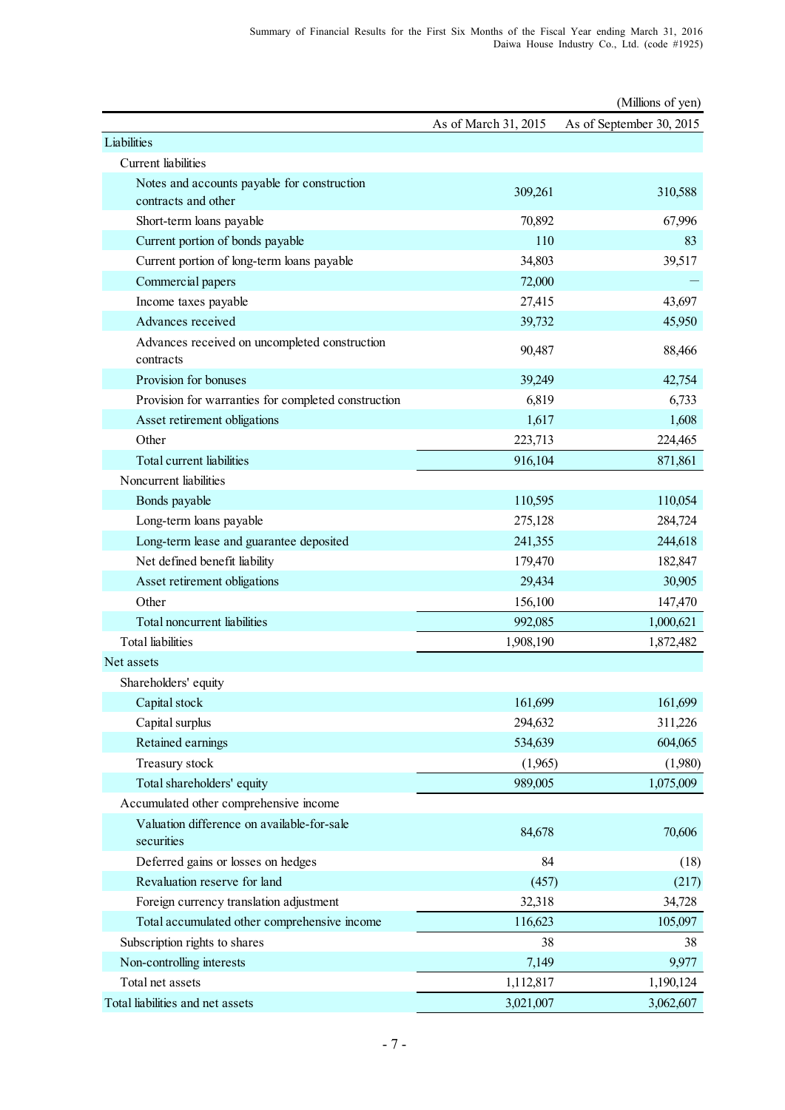|                                                                    |                      | (Millions of yen)        |
|--------------------------------------------------------------------|----------------------|--------------------------|
|                                                                    | As of March 31, 2015 | As of September 30, 2015 |
| Liabilities                                                        |                      |                          |
| Current liabilities                                                |                      |                          |
| Notes and accounts payable for construction<br>contracts and other | 309,261              | 310,588                  |
| Short-term loans payable                                           | 70,892               | 67,996                   |
| Current portion of bonds payable                                   | 110                  | 83                       |
| Current portion of long-term loans payable                         | 34,803               | 39,517                   |
| Commercial papers                                                  | 72,000               |                          |
| Income taxes payable                                               | 27,415               | 43,697                   |
| Advances received                                                  | 39,732               | 45,950                   |
| Advances received on uncompleted construction<br>contracts         | 90,487               | 88,466                   |
| Provision for bonuses                                              | 39,249               | 42,754                   |
| Provision for warranties for completed construction                | 6,819                | 6,733                    |
| Asset retirement obligations                                       | 1,617                | 1,608                    |
| Other                                                              | 223,713              | 224,465                  |
| Total current liabilities                                          | 916,104              | 871,861                  |
| Noncurrent liabilities                                             |                      |                          |
| Bonds payable                                                      | 110,595              | 110,054                  |
| Long-term loans payable                                            | 275,128              | 284,724                  |
| Long-term lease and guarantee deposited                            | 241,355              | 244,618                  |
| Net defined benefit liability                                      | 179,470              | 182,847                  |
| Asset retirement obligations                                       | 29,434               | 30,905                   |
| Other                                                              | 156,100              | 147,470                  |
| Total noncurrent liabilities                                       | 992,085              | 1,000,621                |
| <b>Total liabilities</b>                                           | 1,908,190            | 1,872,482                |
| Net assets                                                         |                      |                          |
| Shareholders' equity                                               |                      |                          |
| Capital stock                                                      | 161,699              | 161,699                  |
| Capital surplus                                                    | 294,632              | 311,226                  |
| Retained earnings                                                  | 534,639              | 604,065                  |
| Treasury stock                                                     | (1,965)              | (1,980)                  |
| Total shareholders' equity                                         | 989,005              | 1,075,009                |
| Accumulated other comprehensive income                             |                      |                          |
| Valuation difference on available-for-sale<br>securities           | 84,678               | 70,606                   |
| Deferred gains or losses on hedges                                 | 84                   | (18)                     |
| Revaluation reserve for land                                       | (457)                | (217)                    |
| Foreign currency translation adjustment                            | 32,318               | 34,728                   |
| Total accumulated other comprehensive income                       | 116,623              | 105,097                  |
| Subscription rights to shares                                      | 38                   | 38                       |
| Non-controlling interests                                          | 7,149                | 9,977                    |
| Total net assets                                                   | 1,112,817            | 1,190,124                |
| Total liabilities and net assets                                   | 3,021,007            | 3,062,607                |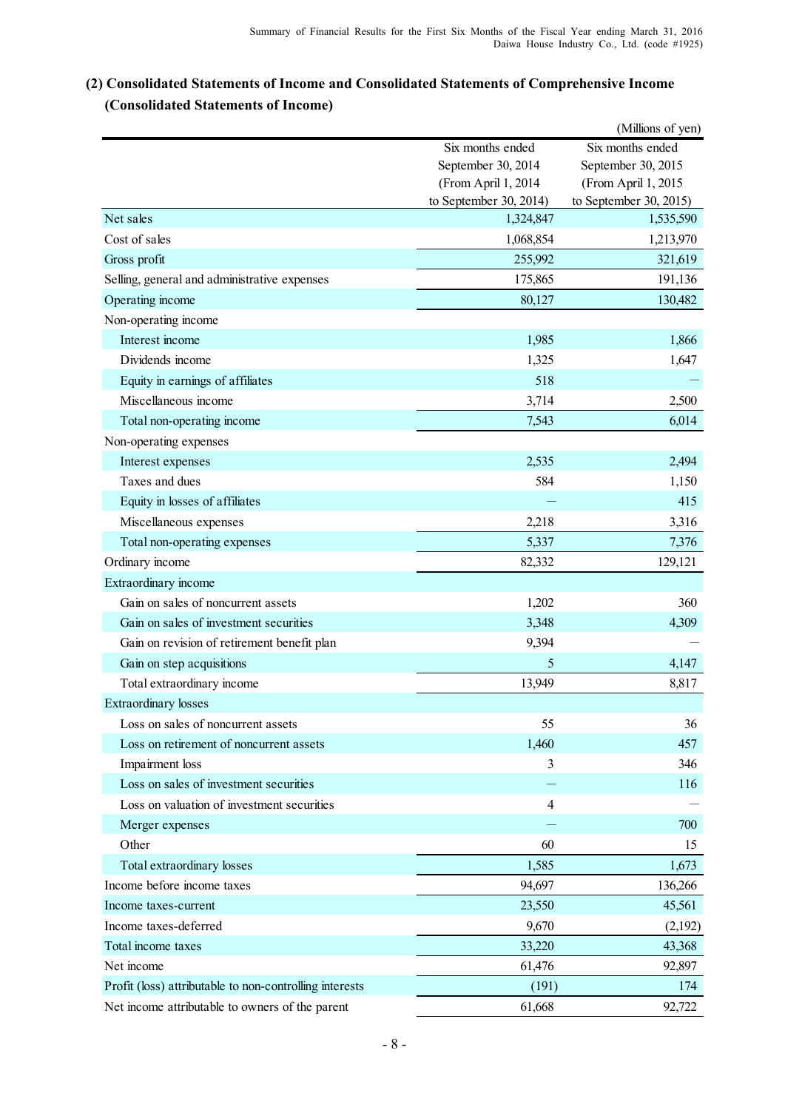# **(2) Consolidated Statements of Income and Consolidated Statements of Comprehensive Income (Consolidated Statements of Income)**

|                                                         |                        | (Millions of yen)      |
|---------------------------------------------------------|------------------------|------------------------|
|                                                         | Six months ended       | Six months ended       |
|                                                         | September 30, 2014     | September 30, 2015     |
|                                                         | (From April 1, 2014    | (From April 1, 2015    |
|                                                         | to September 30, 2014) | to September 30, 2015) |
| Net sales                                               | 1,324,847              | 1,535,590              |
| Cost of sales                                           | 1,068,854              | 1,213,970              |
| Gross profit                                            | 255,992                | 321,619                |
| Selling, general and administrative expenses            | 175,865                | 191,136                |
| Operating income                                        | 80,127                 | 130,482                |
| Non-operating income                                    |                        |                        |
| Interest income                                         | 1,985                  | 1,866                  |
| Dividends income                                        | 1,325                  | 1,647                  |
| Equity in earnings of affiliates                        | 518                    |                        |
| Miscellaneous income                                    | 3,714                  | 2,500                  |
| Total non-operating income                              | 7,543                  | 6,014                  |
| Non-operating expenses                                  |                        |                        |
| Interest expenses                                       | 2,535                  | 2,494                  |
| Taxes and dues                                          | 584                    | 1,150                  |
| Equity in losses of affiliates                          |                        | 415                    |
| Miscellaneous expenses                                  | 2,218                  | 3,316                  |
| Total non-operating expenses                            | 5,337                  | 7,376                  |
| Ordinary income                                         | 82,332                 | 129,121                |
| Extraordinary income                                    |                        |                        |
| Gain on sales of noncurrent assets                      | 1,202                  | 360                    |
| Gain on sales of investment securities                  | 3,348                  | 4,309                  |
| Gain on revision of retirement benefit plan             | 9,394                  |                        |
| Gain on step acquisitions                               | 5                      | 4,147                  |
| Total extraordinary income                              | 13,949                 | 8,817                  |
| <b>Extraordinary losses</b>                             |                        |                        |
| Loss on sales of noncurrent assets                      | 55                     | 36                     |
| Loss on retirement of noncurrent assets                 | 1,460                  | 457                    |
| Impairment loss                                         | 3                      | 346                    |
| Loss on sales of investment securities                  |                        | 116                    |
| Loss on valuation of investment securities              | 4                      |                        |
| Merger expenses                                         |                        | 700                    |
| Other                                                   | 60                     | 15                     |
| Total extraordinary losses                              | 1,585                  | 1,673                  |
| Income before income taxes                              | 94,697                 | 136,266                |
| Income taxes-current                                    | 23,550                 | 45,561                 |
| Income taxes-deferred                                   | 9,670                  |                        |
| Total income taxes                                      |                        | (2,192)                |
| Net income                                              | 33,220                 | 43,368                 |
|                                                         | 61,476                 | 92,897                 |
| Profit (loss) attributable to non-controlling interests | (191)                  | 174                    |
| Net income attributable to owners of the parent         | 61,668                 | 92,722                 |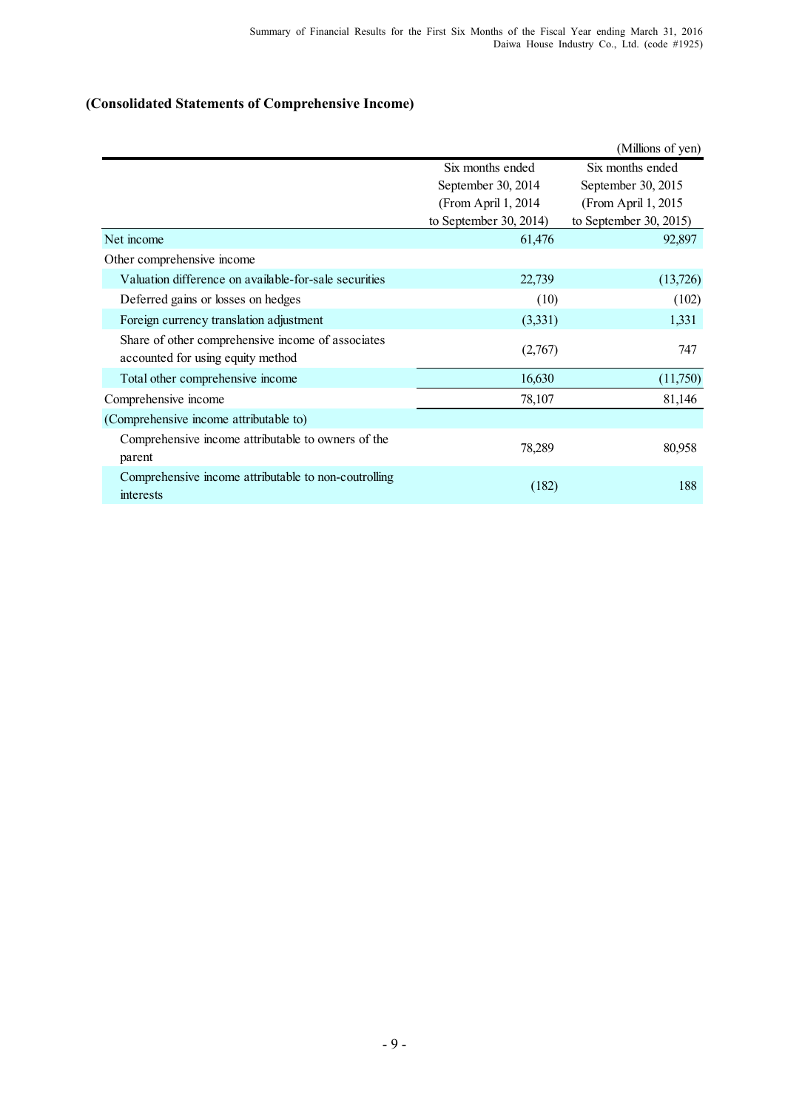# **(Consolidated Statements of Comprehensive Income)**

|                                                                                        |                        | (Millions of yen)      |
|----------------------------------------------------------------------------------------|------------------------|------------------------|
|                                                                                        | Six months ended       | Six months ended       |
|                                                                                        | September 30, 2014     | September 30, 2015     |
|                                                                                        | (From April 1, 2014)   | (From April 1, 2015)   |
|                                                                                        | to September 30, 2014) | to September 30, 2015) |
| Net income                                                                             | 61,476                 | 92,897                 |
| Other comprehensive income                                                             |                        |                        |
| Valuation difference on available-for-sale securities                                  | 22,739                 | (13,726)               |
| Deferred gains or losses on hedges                                                     | (10)                   | (102)                  |
| Foreign currency translation adjustment                                                | (3,331)                | 1,331                  |
| Share of other comprehensive income of associates<br>accounted for using equity method | (2,767)                | 747                    |
| Total other comprehensive income                                                       | 16,630                 | (11,750)               |
| Comprehensive income                                                                   | 78,107                 | 81,146                 |
| (Comprehensive income attributable to)                                                 |                        |                        |
| Comprehensive income attributable to owners of the<br>parent                           | 78,289                 | 80,958                 |
| Comprehensive income attributable to non-coutrolling<br>interests                      | (182)                  | 188                    |